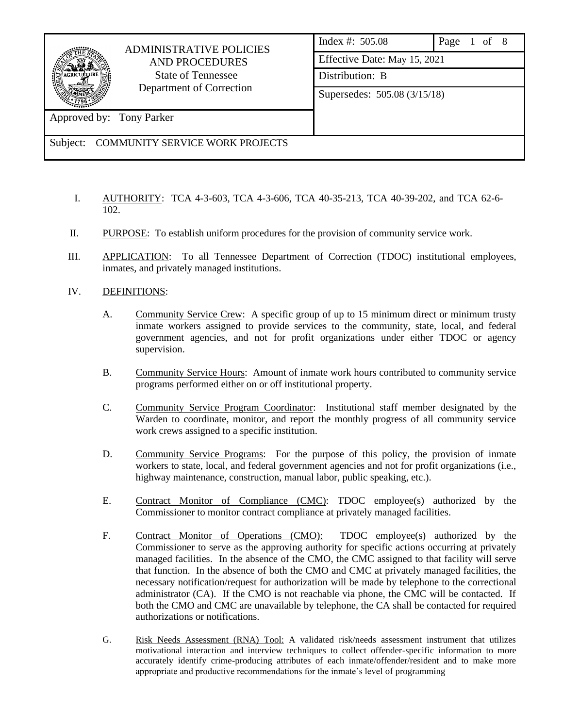

# ADMINISTRATIVE POLICIES AND PROCEDURES State of Tennessee Department of Correction

| <b>ADMINISTRATIVE POLICIES</b><br><b>AND PROCEDURES</b><br><b>State of Tennessee</b><br>Department of Correction |                              | Index #: $505.08$ | Page 1 of 8 |  |  |
|------------------------------------------------------------------------------------------------------------------|------------------------------|-------------------|-------------|--|--|
|                                                                                                                  | Effective Date: May 15, 2021 |                   |             |  |  |
|                                                                                                                  | Distribution: B              |                   |             |  |  |
|                                                                                                                  | Supersedes: 505.08 (3/15/18) |                   |             |  |  |
| Approved by: Tony Parker                                                                                         |                              |                   |             |  |  |

Subject: COMMUNITY SERVICE WORK PROJECTS

- I. AUTHORITY: TCA 4-3-603, TCA 4-3-606, TCA 40-35-213, TCA 40-39-202, and TCA 62-6- 102.
- II. PURPOSE: To establish uniform procedures for the provision of community service work.
- III. APPLICATION: To all Tennessee Department of Correction (TDOC) institutional employees, inmates, and privately managed institutions.
- IV. DEFINITIONS:
	- A. Community Service Crew: A specific group of up to 15 minimum direct or minimum trusty inmate workers assigned to provide services to the community, state, local, and federal government agencies, and not for profit organizations under either TDOC or agency supervision.
	- B. Community Service Hours: Amount of inmate work hours contributed to community service programs performed either on or off institutional property.
	- C. Community Service Program Coordinator: Institutional staff member designated by the Warden to coordinate, monitor, and report the monthly progress of all community service work crews assigned to a specific institution.
	- D. Community Service Programs: For the purpose of this policy, the provision of inmate workers to state, local, and federal government agencies and not for profit organizations (i.e., highway maintenance, construction, manual labor, public speaking, etc.).
	- E. Contract Monitor of Compliance (CMC): TDOC employee(s) authorized by the Commissioner to monitor contract compliance at privately managed facilities.
	- F. Contract Monitor of Operations (CMO): TDOC employee(s) authorized by the Commissioner to serve as the approving authority for specific actions occurring at privately managed facilities. In the absence of the CMO, the CMC assigned to that facility will serve that function. In the absence of both the CMO and CMC at privately managed facilities, the necessary notification/request for authorization will be made by telephone to the correctional administrator (CA). If the CMO is not reachable via phone, the CMC will be contacted. If both the CMO and CMC are unavailable by telephone, the CA shall be contacted for required authorizations or notifications.
	- G. Risk Needs Assessment (RNA) Tool: A validated risk/needs assessment instrument that utilizes motivational interaction and interview techniques to collect offender-specific information to more accurately identify crime-producing attributes of each inmate/offender/resident and to make more appropriate and productive recommendations for the inmate's level of programming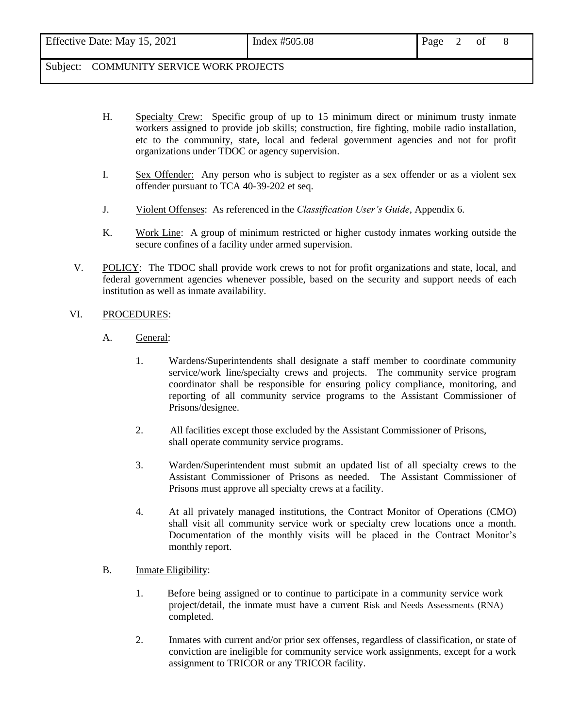| Effective Date: May 15, 2021 | Index #505.08 | Page 2 of |  |  |
|------------------------------|---------------|-----------|--|--|
|                              |               |           |  |  |

- H. Specialty Crew: Specific group of up to 15 minimum direct or minimum trusty inmate workers assigned to provide job skills; construction, fire fighting, mobile radio installation, etc to the community, state, local and federal government agencies and not for profit organizations under TDOC or agency supervision.
- I. Sex Offender: Any person who is subject to register as a sex offender or as a violent sex offender pursuant to TCA 40-39-202 et seq.
- J. Violent Offenses: As referenced in the *Classification User's Guide*, Appendix 6.
- K. Work Line: A group of minimum restricted or higher custody inmates working outside the secure confines of a facility under armed supervision.
- V. POLICY: The TDOC shall provide work crews to not for profit organizations and state, local, and federal government agencies whenever possible, based on the security and support needs of each institution as well as inmate availability.

#### VI. PROCEDURES:

- A. General:
	- 1. Wardens/Superintendents shall designate a staff member to coordinate community service/work line/specialty crews and projects. The community service program coordinator shall be responsible for ensuring policy compliance, monitoring, and reporting of all community service programs to the Assistant Commissioner of Prisons/designee.
	- 2. All facilities except those excluded by the Assistant Commissioner of Prisons, shall operate community service programs.
	- 3. Warden/Superintendent must submit an updated list of all specialty crews to the Assistant Commissioner of Prisons as needed. The Assistant Commissioner of Prisons must approve all specialty crews at a facility.
	- 4. At all privately managed institutions, the Contract Monitor of Operations (CMO) shall visit all community service work or specialty crew locations once a month. Documentation of the monthly visits will be placed in the Contract Monitor's monthly report.
- B. Inmate Eligibility:
	- 1. Before being assigned or to continue to participate in a community service work project/detail, the inmate must have a current Risk and Needs Assessments (RNA) completed.
	- 2. Inmates with current and/or prior sex offenses, regardless of classification, or state of conviction are ineligible for community service work assignments, except for a work assignment to TRICOR or any TRICOR facility.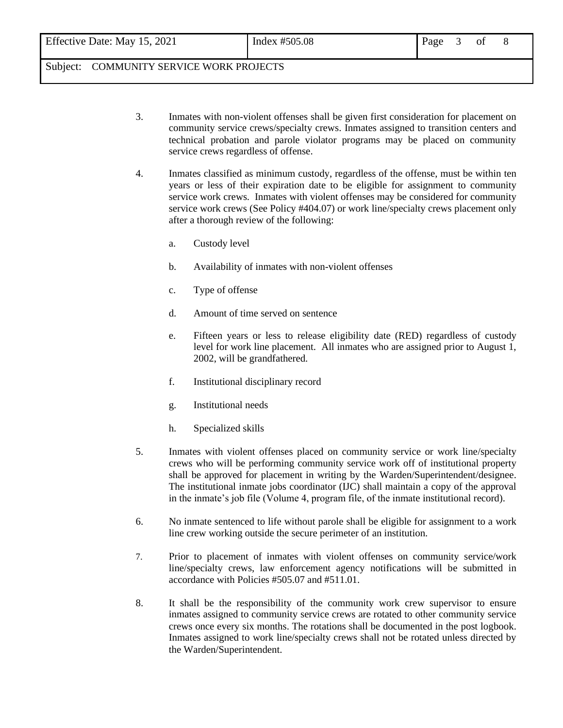- 3. Inmates with non-violent offenses shall be given first consideration for placement on community service crews/specialty crews. Inmates assigned to transition centers and technical probation and parole violator programs may be placed on community service crews regardless of offense.
- 4. Inmates classified as minimum custody, regardless of the offense, must be within ten years or less of their expiration date to be eligible for assignment to community service work crews. Inmates with violent offenses may be considered for community service work crews (See Policy #404.07) or work line/specialty crews placement only after a thorough review of the following:
	- a. Custody level
	- b. Availability of inmates with non-violent offenses
	- c. Type of offense
	- d. Amount of time served on sentence
	- e. Fifteen years or less to release eligibility date (RED) regardless of custody level for work line placement. All inmates who are assigned prior to August 1, 2002, will be grandfathered.
	- f. Institutional disciplinary record
	- g. Institutional needs
	- h. Specialized skills
- 5. Inmates with violent offenses placed on community service or work line/specialty crews who will be performing community service work off of institutional property shall be approved for placement in writing by the Warden/Superintendent/designee. The institutional inmate jobs coordinator (IJC) shall maintain a copy of the approval in the inmate's job file (Volume 4, program file, of the inmate institutional record).
- 6. No inmate sentenced to life without parole shall be eligible for assignment to a work line crew working outside the secure perimeter of an institution.
- 7. Prior to placement of inmates with violent offenses on community service/work line/specialty crews, law enforcement agency notifications will be submitted in accordance with Policies #505.07 and #511.01.
- 8. It shall be the responsibility of the community work crew supervisor to ensure inmates assigned to community service crews are rotated to other community service crews once every six months. The rotations shall be documented in the post logbook. Inmates assigned to work line/specialty crews shall not be rotated unless directed by the Warden/Superintendent.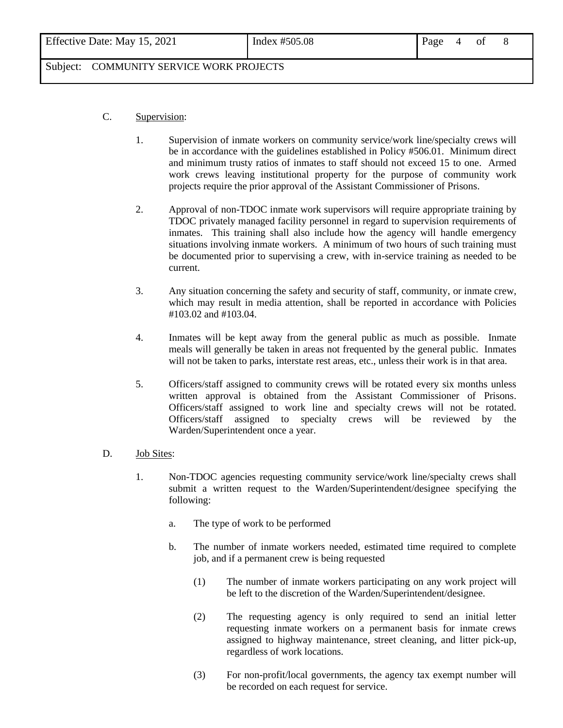| Effective Date: May 15, 2021 | Index $\#505.08$ | Page 4 of 8 |  |  |  |  |
|------------------------------|------------------|-------------|--|--|--|--|
|------------------------------|------------------|-------------|--|--|--|--|

#### C. Supervision:

- 1. Supervision of inmate workers on community service/work line/specialty crews will be in accordance with the guidelines established in Policy #506.01. Minimum direct and minimum trusty ratios of inmates to staff should not exceed 15 to one. Armed work crews leaving institutional property for the purpose of community work projects require the prior approval of the Assistant Commissioner of Prisons.
- 2. Approval of non-TDOC inmate work supervisors will require appropriate training by TDOC privately managed facility personnel in regard to supervision requirements of inmates. This training shall also include how the agency will handle emergency situations involving inmate workers. A minimum of two hours of such training must be documented prior to supervising a crew, with in-service training as needed to be current.
- 3. Any situation concerning the safety and security of staff, community, or inmate crew, which may result in media attention, shall be reported in accordance with Policies #103.02 and #103.04.
- 4. Inmates will be kept away from the general public as much as possible. Inmate meals will generally be taken in areas not frequented by the general public. Inmates will not be taken to parks, interstate rest areas, etc., unless their work is in that area.
- 5. Officers/staff assigned to community crews will be rotated every six months unless written approval is obtained from the Assistant Commissioner of Prisons. Officers/staff assigned to work line and specialty crews will not be rotated. Officers/staff assigned to specialty crews will be reviewed by the Warden/Superintendent once a year.

#### D. Job Sites:

- 1. Non-TDOC agencies requesting community service/work line/specialty crews shall submit a written request to the Warden/Superintendent/designee specifying the following:
	- a. The type of work to be performed
	- b. The number of inmate workers needed, estimated time required to complete job, and if a permanent crew is being requested
		- (1) The number of inmate workers participating on any work project will be left to the discretion of the Warden/Superintendent/designee.
		- (2) The requesting agency is only required to send an initial letter requesting inmate workers on a permanent basis for inmate crews assigned to highway maintenance, street cleaning, and litter pick-up, regardless of work locations.
		- (3) For non-profit/local governments, the agency tax exempt number will be recorded on each request for service.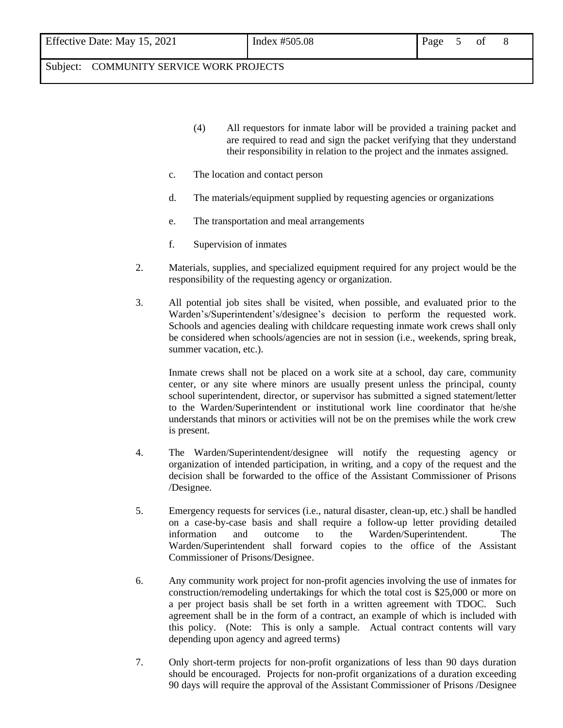| Effective Date: May 15, 2021 |  |  |  |
|------------------------------|--|--|--|
|------------------------------|--|--|--|

- (4) All requestors for inmate labor will be provided a training packet and are required to read and sign the packet verifying that they understand their responsibility in relation to the project and the inmates assigned.
- c. The location and contact person
- d. The materials/equipment supplied by requesting agencies or organizations
- e. The transportation and meal arrangements
- f. Supervision of inmates
- 2. Materials, supplies, and specialized equipment required for any project would be the responsibility of the requesting agency or organization.
- 3. All potential job sites shall be visited, when possible, and evaluated prior to the Warden's/Superintendent's/designee's decision to perform the requested work. Schools and agencies dealing with childcare requesting inmate work crews shall only be considered when schools/agencies are not in session (i.e., weekends, spring break, summer vacation, etc.).

Inmate crews shall not be placed on a work site at a school, day care, community center, or any site where minors are usually present unless the principal, county school superintendent, director, or supervisor has submitted a signed statement/letter to the Warden/Superintendent or institutional work line coordinator that he/she understands that minors or activities will not be on the premises while the work crew is present.

- 4. The Warden/Superintendent/designee will notify the requesting agency or organization of intended participation, in writing, and a copy of the request and the decision shall be forwarded to the office of the Assistant Commissioner of Prisons /Designee.
- 5. Emergency requests for services (i.e., natural disaster, clean-up, etc.) shall be handled on a case-by-case basis and shall require a follow-up letter providing detailed information and outcome to the Warden/Superintendent. The Warden/Superintendent shall forward copies to the office of the Assistant Commissioner of Prisons/Designee.
- 6. Any community work project for non-profit agencies involving the use of inmates for construction/remodeling undertakings for which the total cost is \$25,000 or more on a per project basis shall be set forth in a written agreement with TDOC. Such agreement shall be in the form of a contract, an example of which is included with this policy. (Note: This is only a sample. Actual contract contents will vary depending upon agency and agreed terms)
- 7. Only short-term projects for non-profit organizations of less than 90 days duration should be encouraged. Projects for non-profit organizations of a duration exceeding 90 days will require the approval of the Assistant Commissioner of Prisons /Designee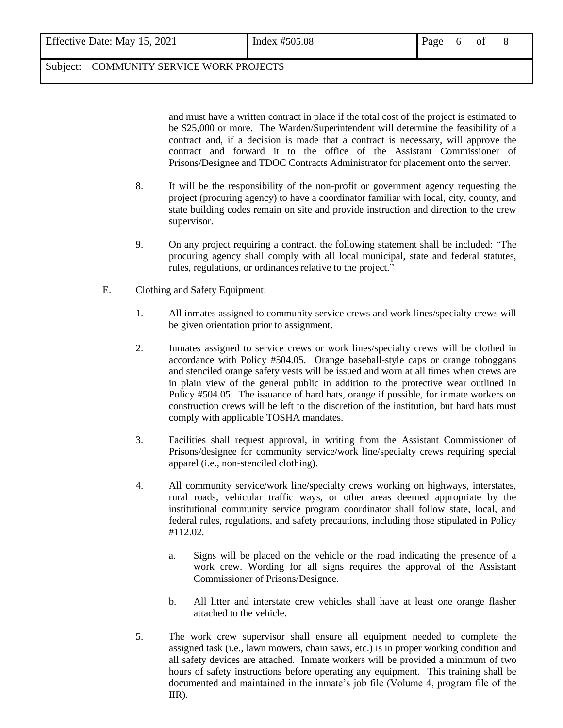and must have a written contract in place if the total cost of the project is estimated to be \$25,000 or more. The Warden/Superintendent will determine the feasibility of a contract and, if a decision is made that a contract is necessary, will approve the contract and forward it to the office of the Assistant Commissioner of Prisons/Designee and TDOC Contracts Administrator for placement onto the server.

- 8. It will be the responsibility of the non-profit or government agency requesting the project (procuring agency) to have a coordinator familiar with local, city, county, and state building codes remain on site and provide instruction and direction to the crew supervisor.
- 9. On any project requiring a contract, the following statement shall be included: "The procuring agency shall comply with all local municipal, state and federal statutes, rules, regulations, or ordinances relative to the project."
- E. Clothing and Safety Equipment:
	- 1. All inmates assigned to community service crews and work lines/specialty crews will be given orientation prior to assignment.
	- 2. Inmates assigned to service crews or work lines/specialty crews will be clothed in accordance with Policy #504.05. Orange baseball-style caps or orange toboggans and stenciled orange safety vests will be issued and worn at all times when crews are in plain view of the general public in addition to the protective wear outlined in Policy #504.05. The issuance of hard hats, orange if possible, for inmate workers on construction crews will be left to the discretion of the institution, but hard hats must comply with applicable TOSHA mandates.
	- 3. Facilities shall request approval, in writing from the Assistant Commissioner of Prisons/designee for community service/work line/specialty crews requiring special apparel (i.e., non-stenciled clothing).
	- 4. All community service/work line/specialty crews working on highways, interstates, rural roads, vehicular traffic ways, or other areas deemed appropriate by the institutional community service program coordinator shall follow state, local, and federal rules, regulations, and safety precautions, including those stipulated in Policy #112.02.
		- a. Signs will be placed on the vehicle or the road indicating the presence of a work crew. Wording for all signs requires the approval of the Assistant Commissioner of Prisons/Designee.
		- b. All litter and interstate crew vehicles shall have at least one orange flasher attached to the vehicle.
	- 5. The work crew supervisor shall ensure all equipment needed to complete the assigned task (i.e., lawn mowers, chain saws, etc.) is in proper working condition and all safety devices are attached. Inmate workers will be provided a minimum of two hours of safety instructions before operating any equipment. This training shall be documented and maintained in the inmate's job file (Volume 4, program file of the IIR).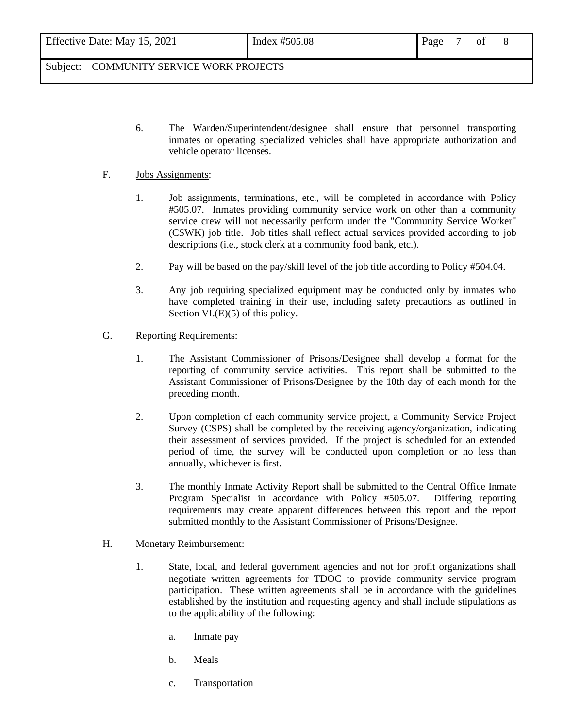| Effective Date: May 15, 2021 | Index #505.08 | Page |  |  |
|------------------------------|---------------|------|--|--|
|                              |               |      |  |  |

6. The Warden/Superintendent/designee shall ensure that personnel transporting inmates or operating specialized vehicles shall have appropriate authorization and vehicle operator licenses.

#### F. Jobs Assignments:

- 1. Job assignments, terminations, etc., will be completed in accordance with Policy #505.07. Inmates providing community service work on other than a community service crew will not necessarily perform under the "Community Service Worker" (CSWK) job title. Job titles shall reflect actual services provided according to job descriptions (i.e., stock clerk at a community food bank, etc.).
- 2. Pay will be based on the pay/skill level of the job title according to Policy #504.04.
- 3. Any job requiring specialized equipment may be conducted only by inmates who have completed training in their use, including safety precautions as outlined in Section VI.(E)(5) of this policy.
- G. Reporting Requirements:
	- 1. The Assistant Commissioner of Prisons/Designee shall develop a format for the reporting of community service activities. This report shall be submitted to the Assistant Commissioner of Prisons/Designee by the 10th day of each month for the preceding month.
	- 2. Upon completion of each community service project, a Community Service Project Survey (CSPS) shall be completed by the receiving agency/organization, indicating their assessment of services provided. If the project is scheduled for an extended period of time, the survey will be conducted upon completion or no less than annually, whichever is first.
	- 3. The monthly Inmate Activity Report shall be submitted to the Central Office Inmate Program Specialist in accordance with Policy #505.07. Differing reporting requirements may create apparent differences between this report and the report submitted monthly to the Assistant Commissioner of Prisons/Designee.

#### H. Monetary Reimbursement:

- 1. State, local, and federal government agencies and not for profit organizations shall negotiate written agreements for TDOC to provide community service program participation. These written agreements shall be in accordance with the guidelines established by the institution and requesting agency and shall include stipulations as to the applicability of the following:
	- a. Inmate pay
	- b. Meals
	- c. Transportation